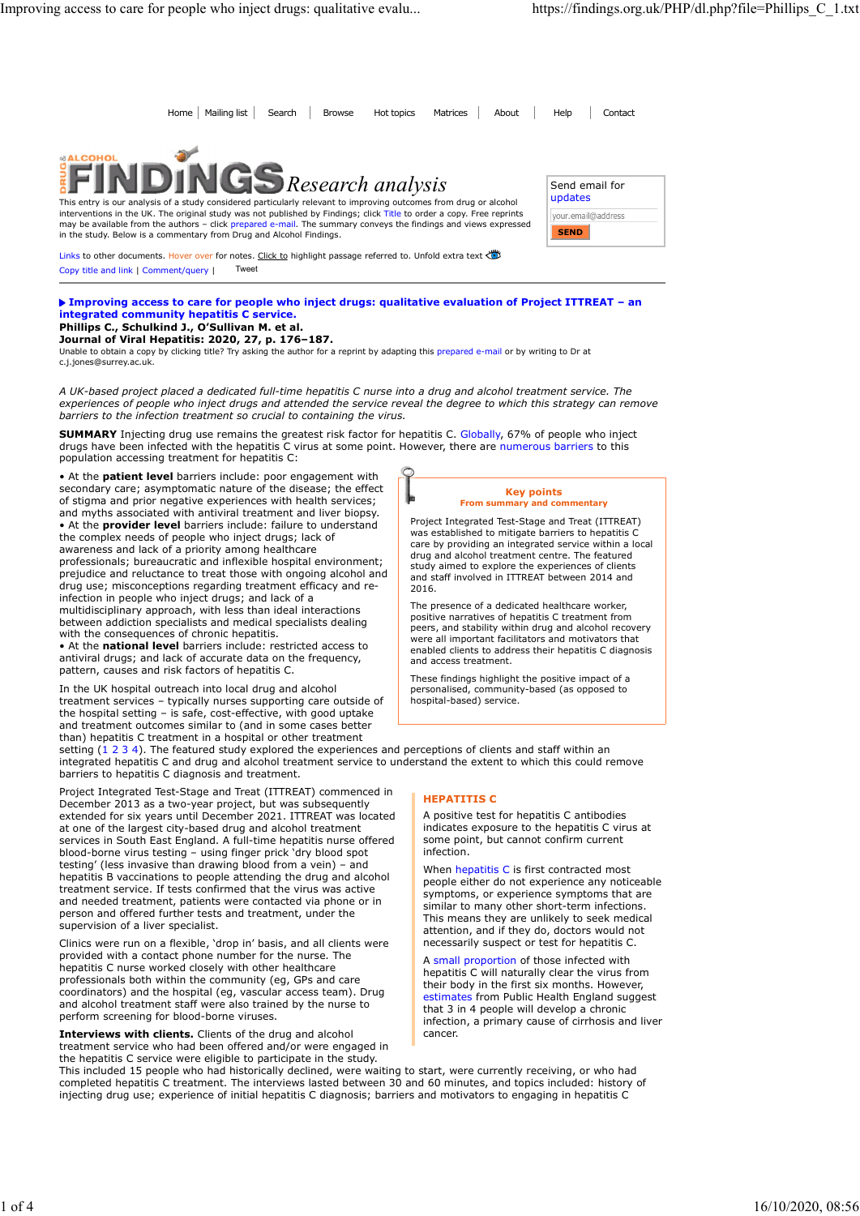Home Mailing list Search Browse Hot topics Matrices About Help Contact From Phome | Malling list Search | Browse | Hot topics Matrices | About | Help Contact<br>
Send email for<br>
Send email for Research analysis Send email for updates This entry is our analysis of a study considered particularly relevant to improving outcomes from drug or alcohol interventions in the UK. The original study was not published by Findings; click Title to order a copy. Free reprints<br>may be available from the authors – click prepared e-mail. The summary conveys the findings and views ex your.email@address **SEND** in the study. Below is a commentary from Drug and Alcohol Findings. Links to other documents. Hover over for notes. Click to highlight passage referred to. Unfold extra text

Copy title and link | Comment/query | Tweet

#### Improving access to care for people who inject drugs: qualitative evaluation of Project ITTREAT – an integrated community hepatitis C service. Phillips C., Schulkind J., O'Sullivan M. et al.

# Journal of Viral Hepatitis: 2020, 27, p. 176–187.

Unable to obtain a copy by clicking title? Try asking the author for a reprint by adapting this prepared e-mail or by writing to Dr at c.j.jones@surrey.ac.uk.

A UK-based project placed a dedicated full-time hepatitis C nurse into a drug and alcohol treatment service. The experiences of people who inject drugs and attended the service reveal the degree to which this strategy can remove barriers to the infection treatment so crucial to containing the virus.

SUMMARY Injecting drug use remains the greatest risk factor for hepatitis C. Globally, 67% of people who inject drugs have been infected with the hepatitis C virus at some point. However, there are numerous barriers to this population accessing treatment for hepatitis C:

• At the **patient level** barriers include: poor engagement with secondary care; asymptomatic nature of the disease; the effect of stigma and prior negative experiences with health services; and myths associated with antiviral treatment and liver biopsy. • At the provider level barriers include: failure to understand the complex needs of people who inject drugs; lack of awareness and lack of a priority among healthcare professionals; bureaucratic and inflexible hospital environment; prejudice and reluctance to treat those with ongoing alcohol and drug use; misconceptions regarding treatment efficacy and reinfection in people who inject drugs; and lack of a multidisciplinary approach, with less than ideal interactions between addiction specialists and medical specialists dealing with the consequences of chronic hepatitis. spectromecond of percent of the feature of the study experience of clientific intervalses and percent and the feature of the study experience of percent intervalses are an interval interval interval interval interval inte

• At the national level barriers include: restricted access to antiviral drugs; and lack of accurate data on the frequency, pattern, causes and risk factors of hepatitis C.

In the UK hospital outreach into local drug and alcohol treatment services – typically nurses supporting care outside of the hospital setting – is safe, cost-effective, with good uptake and treatment outcomes similar to (and in some cases better

Key points From summary and  $con$ 

Project Integrated Test-Stage and Treat (ITTREAT) was established to mitigate barriers to hepatitis C care by providing an integrated service within a local drug and alcohol treatment centre. The featured study aimed to explore the experiences of clients and staff involved in ITTREAT between 2014 and 2016.

The presence of a dedicated healthcare worker, positive narratives of hepatitis C treatment from peers, and stability within drug and alcohol recovery were all important facilitators and motivators that enabled clients to address their hepatitis C diagnosis and access treatment.

These findings highlight the positive impact of a personalised, community-based (as opposed to hospital-based) service.

than) hepatitis C treatment in a hospital or other treatment<br>setting  $(1\ 2\ 3\ 4)$ . The featured study explored the experiences and perceptions of clients and staff within an integrated hepatitis C and drug and alcohol treatment service to understand the extent to which this could remove barriers to hepatitis C diagnosis and treatment.

Project Integrated Test-Stage and Treat (ITTREAT) commenced in December 2013 as a two-year project, but was subsequently **Example 18 and Section** 1. extended for six years until December 2021. ITTREAT was located at one of the largest city-based drug and alcohol treatment services in South East England. A full-time hepatitis nurse offered blood-borne virus testing – using finger prick 'dry blood spot **business** infection. testing' (less invasive than drawing blood from a vein) – and hepatitis B vaccinations to people attending the drug and alcohol treatment service. If tests confirmed that the virus was active and needed treatment, patients were contacted via phone or in person and offered further tests and treatment, under the supervision of a liver specialist.

Clinics were run on a flexible, 'drop in' basis, and all clients were provided with a contact phone number for the nurse. The hepatitis C nurse worked closely with other healthcare professionals both within the community (eg, GPs and care coordinators) and the hospital (eg, vascular access team). Drug and alcohol treatment staff were also trained by the nurse to perform screening for blood-borne viruses.

Interviews with clients. Clients of the drug and alcohol treatment service who had been offered and/or were engaged in the hepatitis C service were eligible to participate in the study.

# HEPATITIS C

A positive test for hepatitis C antibodies indicates exposure to the hepatitis C virus at some point, but cannot confirm current infection.

When hepatitis C is first contracted most people either do not experience any noticeable symptoms, or experience symptoms that are similar to many other short-term infections. This means they are unlikely to seek medical attention, and if they do, doctors would not necessarily suspect or test for hepatitis C.

A small proportion of those infected with hepatitis C will naturally clear the virus from their body in the first six months. However, estimates from Public Health England suggest that 3 in 4 people will develop a chronic infection, a primary cause of cirrhosis and liver cancer.

This included 15 people who had historically declined, were waiting to start, were currently receiving, or who had completed hepatitis C treatment. The interviews lasted between 30 and 60 minutes, and topics included: history of injecting drug use; experience of initial hepatitis C diagnosis; barriers and motivators to engaging in hepatitis C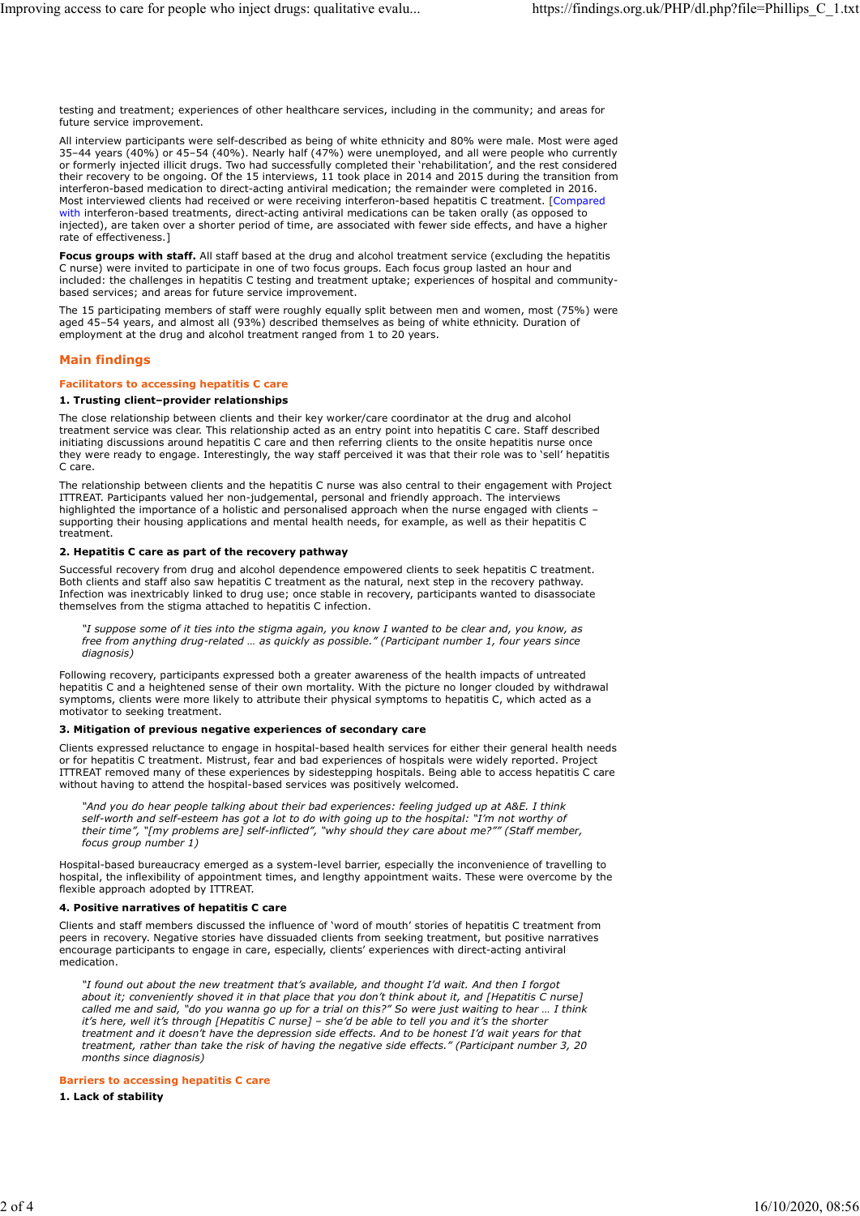testing and treatment; experiences of other healthcare services, including in the community; and areas for future service improvement.

All interview participants were self-described as being of white ethnicity and 80% were male. Most were aged 35–44 years (40%) or 45–54 (40%). Nearly half (47%) were unemployed, and all were people who currently or formerly injected illicit drugs. Two had successfully completed their 'rehabilitation', and the rest considered their recovery to be ongoing. Of the 15 interviews, 11 took place in 2014 and 2015 during the transition from interferon-based medication to direct-acting antiviral medication; the remainder were completed in 2016. Most interviewed clients had received or were receiving interferon-based hepatitis C treatment. [Compared with interferon-based treatments, direct-acting antiviral medications can be taken orally (as opposed to injected), are taken over a shorter period of time, are associated with fewer side effects, and have a higher rate of effectiveness.]

Focus groups with staff. All staff based at the drug and alcohol treatment service (excluding the hepatitis C nurse) were invited to participate in one of two focus groups. Each focus group lasted an hour and included: the challenges in hepatitis C testing and treatment uptake; experiences of hospital and communitybased services; and areas for future service improvement.

The 15 participating members of staff were roughly equally split between men and women, most (75%) were aged 45–54 years, and almost all (93%) described themselves as being of white ethnicity. Duration of employment at the drug and alcohol treatment ranged from 1 to 20 years.

# Main findings

#### Facilitators to accessing hepatitis C care

# 1. Trusting client–provider relationships

The close relationship between clients and their key worker/care coordinator at the drug and alcohol treatment service was clear. This relationship acted as an entry point into hepatitis C care. Staff described initiating discussions around hepatitis C care and then referring clients to the onsite hepatitis nurse once they were ready to engage. Interestingly, the way staff perceived it was that their role was to 'sell' hepatitis C care.

The relationship between clients and the hepatitis C nurse was also central to their engagement with Project ITTREAT. Participants valued her non-judgemental, personal and friendly approach. The interviews highlighted the importance of a holistic and personalised approach when the nurse engaged with clients – supporting their housing applications and mental health needs, for example, as well as their hepatitis C treatment.

#### 2. Hepatitis C care as part of the recovery pathway

Successful recovery from drug and alcohol dependence empowered clients to seek hepatitis C treatment. Both clients and staff also saw hepatitis C treatment as the natural, next step in the recovery pathway. Infection was inextricably linked to drug use; once stable in recovery, participants wanted to disassociate themselves from the stigma attached to hepatitis C infection.

"I suppose some of it ties into the stigma again, you know I wanted to be clear and, you know, as free from anything drug-related … as quickly as possible." (Participant number 1, four years since diagnosis)

Following recovery, participants expressed both a greater awareness of the health impacts of untreated hepatitis C and a heightened sense of their own mortality. With the picture no longer clouded by withdrawal symptoms, clients were more likely to attribute their physical symptoms to hepatitis C, which acted as a motivator to seeking treatment.

## 3. Mitigation of previous negative experiences of secondary care

Clients expressed reluctance to engage in hospital-based health services for either their general health needs or for hepatitis C treatment. Mistrust, fear and bad experiences of hospitals were widely reported. Project ITTREAT removed many of these experiences by sidestepping hospitals. Being able to access hepatitis C care without having to attend the hospital-based services was positively welcomed.

"And you do hear people talking about their bad experiences: feeling judged up at A&E. I think self-worth and self-esteem has got a lot to do with going up to the hospital: "I'm not worthy of their time", "[my problems are] self-inflicted", "why should they care about me?"" (Staff member, focus group number 1)

Hospital-based bureaucracy emerged as a system-level barrier, especially the inconvenience of travelling to hospital, the inflexibility of appointment times, and lengthy appointment waits. These were overcome by the flexible approach adopted by ITTREAT.

## 4. Positive narratives of hepatitis C care

Clients and staff members discussed the influence of 'word of mouth' stories of hepatitis C treatment from peers in recovery. Negative stories have dissuaded clients from seeking treatment, but positive narratives encourage participants to engage in care, especially, clients' experiences with direct-acting antiviral medication.

"I found out about the new treatment that's available, and thought I'd wait. And then I forgot about it; conveniently shoved it in that place that you don't think about it, and [Hepatitis C nurse] called me and said, "do you wanna go up for a trial on this?" So were just waiting to hear ... I think it's here, well it's through [Hepatitis C nurse] – she'd be able to tell you and it's the shorter treatment and it doesn't have the depression side effects. And to be honest I'd wait years for that treatment, rather than take the risk of having the negative side effects." (Participant number 3, 20 months since diagnosis)

# Barriers to accessing hepatitis C care

1. Lack of stability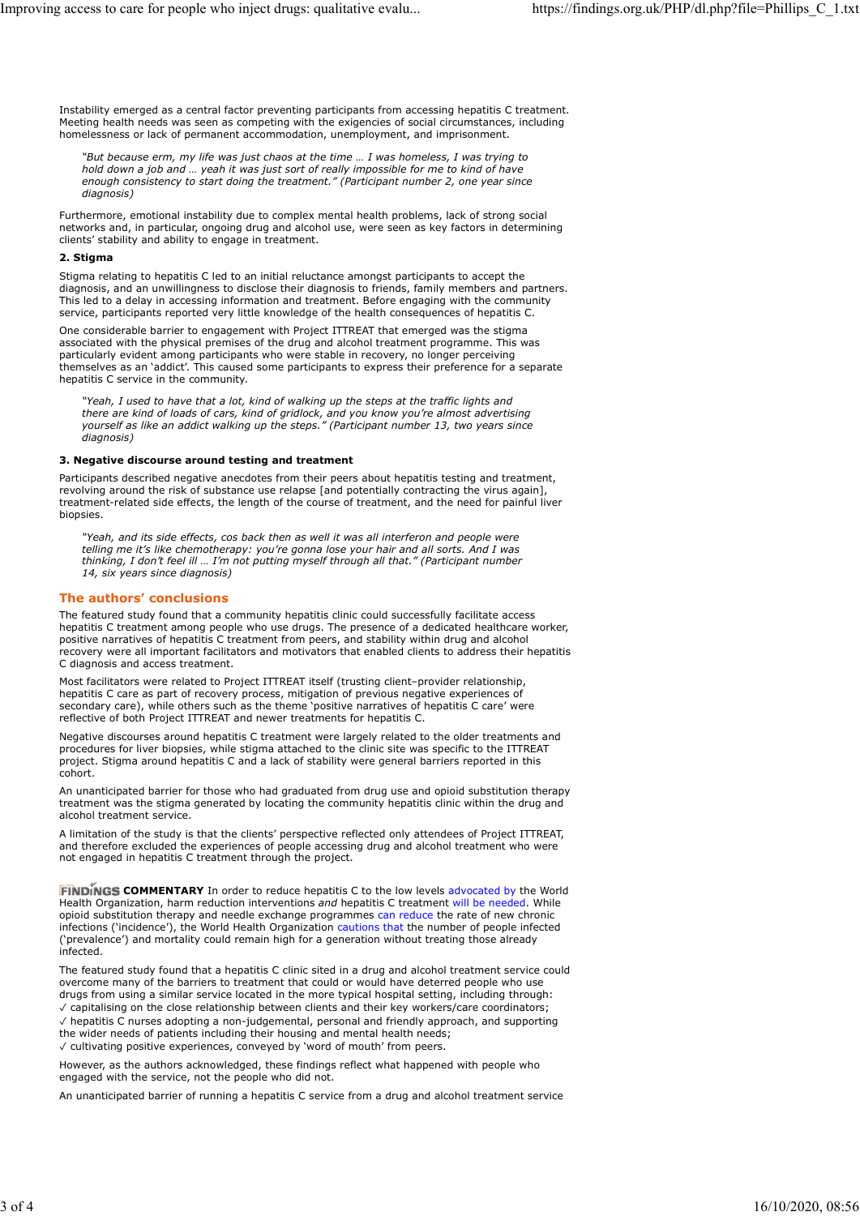Instability emerged as a central factor preventing participants from accessing hepatitis C treatment. Meeting health needs was seen as competing with the exigencies of social circumstances, including homelessness or lack of permanent accommodation, unemployment, and imprisonment.

"But because erm, my life was just chaos at the time … I was homeless, I was trying to hold down a job and … yeah it was just sort of really impossible for me to kind of have enough consistency to start doing the treatment." (Participant number 2, one year since diagnosis)

Furthermore, emotional instability due to complex mental health problems, lack of strong social networks and, in particular, ongoing drug and alcohol use, were seen as key factors in determining clients' stability and ability to engage in treatment.

#### 2. Stigma

Stigma relating to hepatitis C led to an initial reluctance amongst participants to accept the diagnosis, and an unwillingness to disclose their diagnosis to friends, family members and partners. This led to a delay in accessing information and treatment. Before engaging with the community service, participants reported very little knowledge of the health consequences of hepatitis C.

One considerable barrier to engagement with Project ITTREAT that emerged was the stigma associated with the physical premises of the drug and alcohol treatment programme. This was particularly evident among participants who were stable in recovery, no longer perceiving themselves as an 'addict'. This caused some participants to express their preference for a separate hepatitis C service in the community.

"Yeah, I used to have that a lot, kind of walking up the steps at the traffic lights and there are kind of loads of cars, kind of gridlock, and you know you're almost advertising yourself as like an addict walking up the steps." (Participant number 13, two years since diagnosis)

#### 3. Negative discourse around testing and treatment

Participants described negative anecdotes from their peers about hepatitis testing and treatment, revolving around the risk of substance use relapse [and potentially contracting the virus again], treatment-related side effects, the length of the course of treatment, and the need for painful liver biopsies.

"Yeah, and its side effects, cos back then as well it was all interferon and people were telling me it's like chemotherapy: you're gonna lose your hair and all sorts. And I was thinking, I don't feel ill … I'm not putting myself through all that." (Participant number 14, six years since diagnosis)

## The authors' conclusions

The featured study found that a community hepatitis clinic could successfully facilitate access hepatitis C treatment among people who use drugs. The presence of a dedicated healthcare worker, positive narratives of hepatitis C treatment from peers, and stability within drug and alcohol recovery were all important facilitators and motivators that enabled clients to address their hepatitis C diagnosis and access treatment.

Most facilitators were related to Project ITTREAT itself (trusting client–provider relationship, hepatitis C care as part of recovery process, mitigation of previous negative experiences of secondary care), while others such as the theme 'positive narratives of hepatitis C care' were reflective of both Project ITTREAT and newer treatments for hepatitis C.

Negative discourses around hepatitis C treatment were largely related to the older treatments and procedures for liver biopsies, while stigma attached to the clinic site was specific to the ITTREAT project. Stigma around hepatitis C and a lack of stability were general barriers reported in this cohort.

An unanticipated barrier for those who had graduated from drug use and opioid substitution therapy treatment was the stigma generated by locating the community hepatitis clinic within the drug and alcohol treatment service.

A limitation of the study is that the clients' perspective reflected only attendees of Project ITTREAT, and therefore excluded the experiences of people accessing drug and alcohol treatment who were not engaged in hepatitis C treatment through the project.

**FINDINGS COMMENTARY** In order to reduce hepatitis C to the low levels advocated by the World Health Organization, harm reduction interventions and hepatitis C treatment will be needed. While opioid substitution therapy and needle exchange programmes can reduce the rate of new chronic infections ('incidence'), the World Health Organization cautions that the number of people infected ('prevalence') and mortality could remain high for a generation without treating those already infected.

The featured study found that a hepatitis C clinic sited in a drug and alcohol treatment service could overcome many of the barriers to treatment that could or would have deterred people who use drugs from using a similar service located in the more typical hospital setting, including through: ✓ capitalising on the close relationship between clients and their key workers/care coordinators;

✓ hepatitis C nurses adopting a non-judgemental, personal and friendly approach, and supporting the wider needs of patients including their housing and mental health needs; ✓ cultivating positive experiences, conveyed by 'word of mouth' from peers.

However, as the authors acknowledged, these findings reflect what happened with people who engaged with the service, not the people who did not.

An unanticipated barrier of running a hepatitis C service from a drug and alcohol treatment service